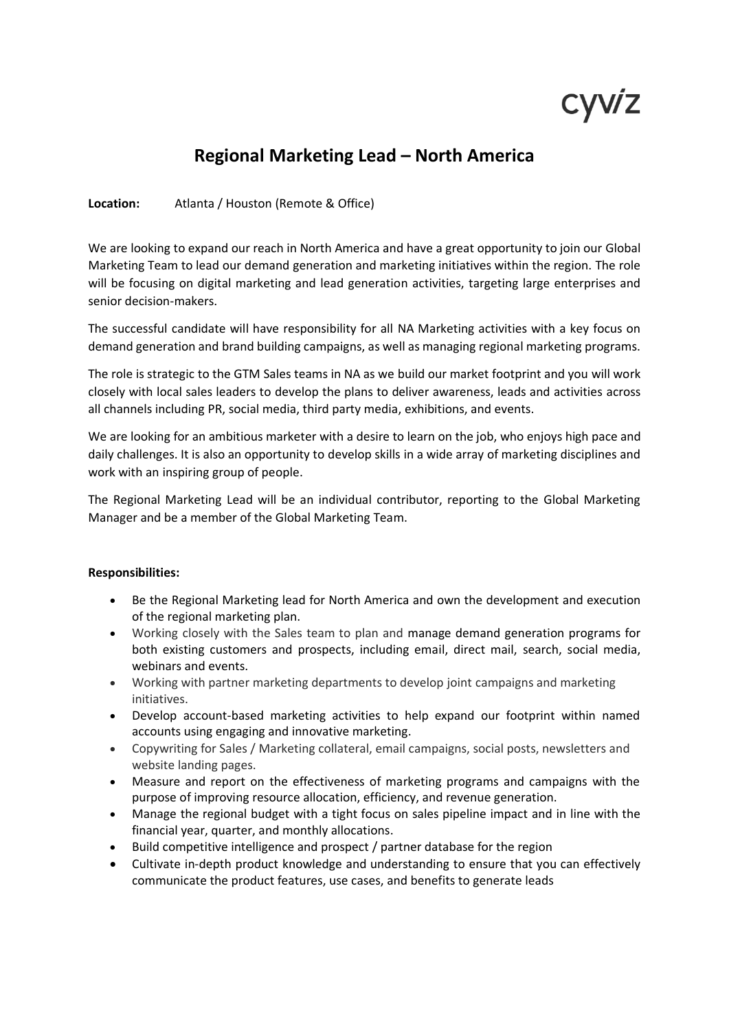# cyviz

## **Regional Marketing Lead – North America**

#### **Location:** Atlanta / Houston (Remote & Office)

We are looking to expand our reach in North America and have a great opportunity to join our Global Marketing Team to lead our demand generation and marketing initiatives within the region. The role will be focusing on digital marketing and lead generation activities, targeting large enterprises and senior decision-makers.

The successful candidate will have responsibility for all NA Marketing activities with a key focus on demand generation and brand building campaigns, as well as managing regional marketing programs.

The role is strategic to the GTM Sales teams in NA as we build our market footprint and you will work closely with local sales leaders to develop the plans to deliver awareness, leads and activities across all channels including PR, social media, third party media, exhibitions, and events.

We are looking for an ambitious marketer with a desire to learn on the job, who enjoys high pace and daily challenges. It is also an opportunity to develop skills in a wide array of marketing disciplines and work with an inspiring group of people.

The Regional Marketing Lead will be an individual contributor, reporting to the Global Marketing Manager and be a member of the Global Marketing Team.

#### **Responsibilities:**

- Be the Regional Marketing lead for North America and own the development and execution of the regional marketing plan.
- Working closely with the Sales team to plan and manage demand generation programs for both existing customers and prospects, including email, direct mail, search, social media, webinars and events.
- Working with partner marketing departments to develop joint campaigns and marketing initiatives.
- Develop account-based marketing activities to help expand our footprint within named accounts using engaging and innovative marketing.
- Copywriting for Sales / Marketing collateral, email campaigns, social posts, newsletters and website landing pages.
- Measure and report on the effectiveness of marketing programs and campaigns with the purpose of improving resource allocation, efficiency, and revenue generation.
- Manage the regional budget with a tight focus on sales pipeline impact and in line with the financial year, quarter, and monthly allocations.
- Build competitive intelligence and prospect / partner database for the region
- Cultivate in-depth product knowledge and understanding to ensure that you can effectively communicate the product features, use cases, and benefits to generate leads